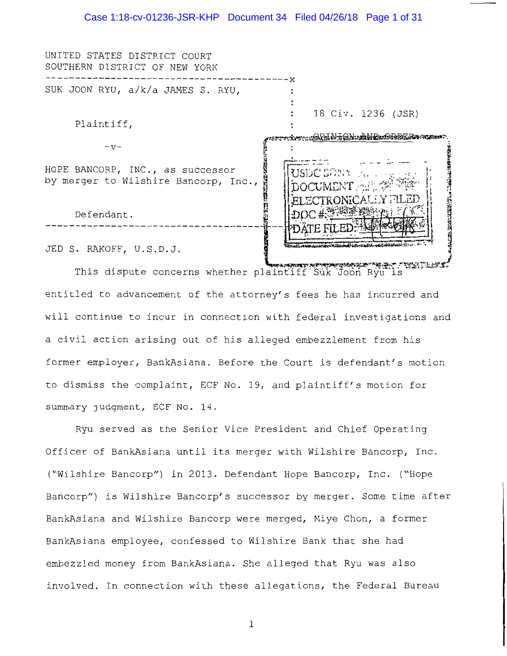#### Case 1:18-cv-01236-JSR-KHP Document 34 Filed 04/26/18 Page 1 of 31

UNITED STATES DISTRICT COURT SOUTHERN DISTRICT OF NEW YORK -----------------------------------------x SUK JOON RYU, a/k/a JAMES S. RYU,  $\ddot{\phantom{a}}$ 18 Civ. 1236 (JSR) Plaintiff, ATTITING TALING ANTIBUTIONS TERMINING  $-v-$ **いちのうけいいん こうかいこういん** HOPE BANCORP, INC., as successor by merger to Wilshire Bancorp, Inc., **NEW YORK** Defendant. JED S. RAKOFF, U.S.D.J.

This dispute concerns whether plaintiff Suk Joon Ryu is entitled to advancement of the attorney's fees he has incurred and will continue to incur in connection with federal investigations and a civil action arising out of his alleged embezzlement from his former employer, BankAsiana. Before the Court is defendant's motion to dismiss the complaint, ECF No. 19, and plaintiff's motion for summary judgment, ECF No. 14.

Ryu served as the Senior Vice President and Chief Operating Officer of BankAsiana until its merger with Wilshire Bancorp, Inc. ("Wilshire Bancorp") in 2013. Defendant Hope Bancorp, Inc. ("Hope Bancorp") is Wilshire Bancorp's successor by merger. Some time after BankAsiana and Wilshire Bancorp were merged, Miye Chon, a former BankAsiana employee, confessed to Wilshire Bank that she had embezzled money from BankAsiana. She alleged that Ryu was also involved. In connection with these allegations, the Federal Bureau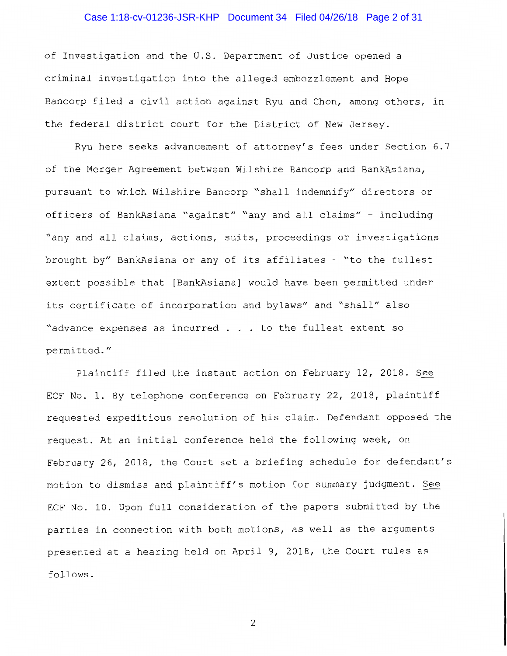## Case 1:18-cv-01236-JSR-KHP Document 34 Filed 04/26/18 Page 2 of 31

of Investigation and the U.S. Department of Justice opened a criminal investigation into the alleged embezzlement and Hope Bancorp filed a civil action against Ryu and Chon, among others, in the federal district court for the District of New Jersey.

Ryu here seeks advancement of attorney's fees under Section 6.7 of the Merger Agreement between Wilshire Bancorp and BankAsiana, pursuant to which Wilshire Bancorp "shall indemnify" directors or officers of BankAsiana "against" "any and all claims" - including "any and all claims, actions, suits, proceedings or investigations brought by" BankAsiana or any of its affiliates - "to the fullest extent possible that [BankAsiana] would have been permitted under its certificate of incorporation and bylaws" and "shall" also "advance expenses as incurred . . to the fullest extent so permitted."

Plaintiff filed the instant action on February 12, 2018. See ECF No. 1. By telephone conference on February 22, 2018, plaintiff requested expeditious resolution of his claim. Defendant opposed the request. At an initial conference held the following week, on February 26, 2018, the Court set a briefing schedule for defendant's motion to dismiss and plaintiff's motion for summary judgment. See ECF No. 10. Upon full consideration of the papers submitted by the parties in connection with both motions, as well as the arguments presented at a hearing held on April 9, 2018, the Court rules as follows.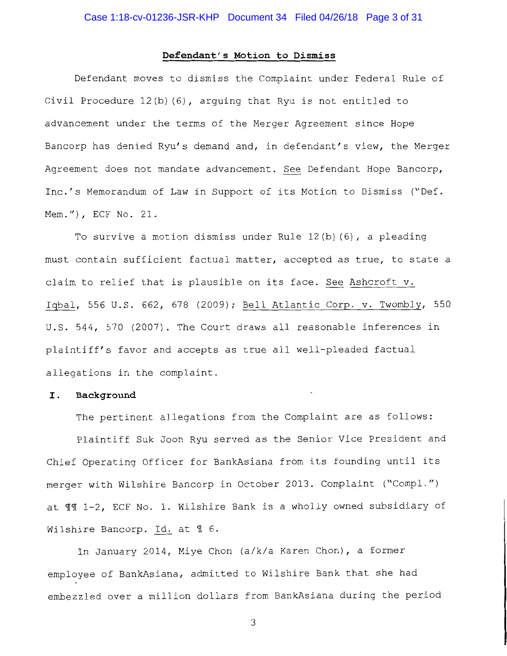#### **Defendant's Motion to Dismiss**

Defendant moves to dismiss the Complaint under Federal Rule of Civil Procedure 12(b) (6), arguing that Ryu is not entitled to advancement under the terms of the Merger Agreement since Hope Bancorp has denied Ryu's demand and, in defendant's view, the Merger Agreement does not mandate advancement. See Defendant Hope Bancorp, Inc.'s Memorandum of Law in Support of its Motion to Dismiss ("Def. Mem."), ECF No. 21.

To survive a motion dismiss under Rule 12(b) (6), a pleading must contain sufficient factual matter, accepted as true, to state a claim to relief that is plausible on its face. See Ashcroft v. Iqbal, 556 U.S. 662, 678 (2009); Bell Atlantic Corp. v. Twombly, 550 U.S. 544, 570 (2007). The Court draws all reasonable inferences in plaintiff's favor and accepts as true all well-pleaded factual allegations in the complaint.

#### I . **Background**

The pertinent allegations from the Complaint are as follows:

Plaintiff Suk Joon Ryu served as the Senior Vice President and Chief Operating Officer for BankAsiana from its founding until its merger with Wilshire Bancorp in October 2013. Complaint ("Compl.") at  $\texttt{TM}$  1-2, ECF No. 1. Wilshire Bank is a wholly owned subsidiary of Wilshire Bancorp. Id. at 1 6.

In January 2014, Miye Chon (a/k/a Karen Chon), a former employee of BankAsiana, admitted to Wilshire Bank that she had embezzled over a million dollars from BankAsiana during the period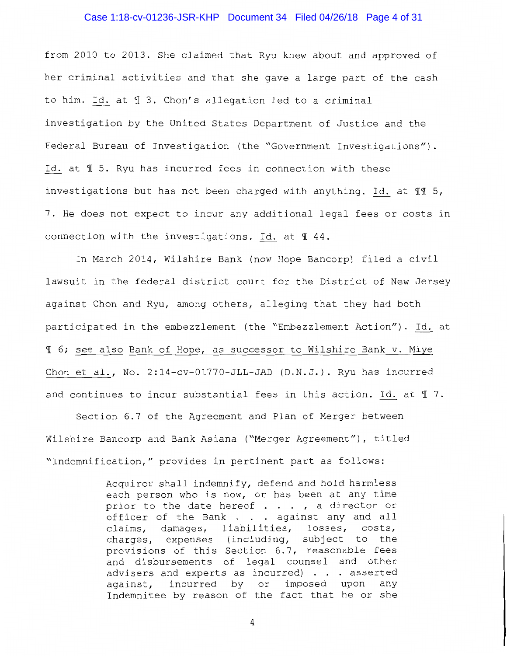#### Case 1:18-cv-01236-JSR-KHP Document 34 Filed 04/26/18 Page 4 of 31

from 2010 to 2013. She claimed that Ryu knew about and approved of her criminal activities and that she gave a large part of the cash to him. Id. at  $\text{\ensuremath{\mathfrak{N}}}$  3. Chon's allegation led to a criminal investigation by the United States Department of Justice and the Federal Bureau of Investigation (the "Government Investigations") . Id. at  $\text{\textsterling}$  5. Ryu has incurred fees in connection with these investigations but has not been charged with anything. Id. at  $\mathbb{II}$  5, 7. He does not expect to incur any additional legal fees or costs in connection with the investigations. Id. at  $\text{\texttt{M}}$  44.

In March 2014, Wilshire Bank (now Hope Bancorp) filed a civil lawsuit in the federal district court for the District of New Jersey against Chon and Ryu, among others, alleging that they had both participated in the embezzlement (the "Embezzlement Action"). Id. at <sup>~</sup>6; see also Bank of Hope, as successor to Wilshire Bank v. Miye Chon et al., No. 2:14-cv-01770-JLL-JAD (D.N.J.). Ryu has incurred and continues to incur substantial fees in this action. Id. at  $\text{\texttt{Y}}$  7.

Section 6.7 of the Agreement and Plan of Merger between Wilshire Bancorp and Bank Asiana ("Merger Agreement"), titled "Indemnification," provides in pertinent part as follows:

> Acquiror shall indemnify, defend and hold harmless each person who is now, or has been at any time prior to the date hereof  $\dots$ , a director or officer of the Bank  $\ldots$  against any and all claims, damages, liabilities, losses, costs, charges, expenses (including, subject to the provisions of this Section 6.7, reasonable fees and disbursements of legal counsel and other advisers and experts as incurred) . . . asserted against, incurred by or imposed upon any Indemnitee by reason of the fact that he or she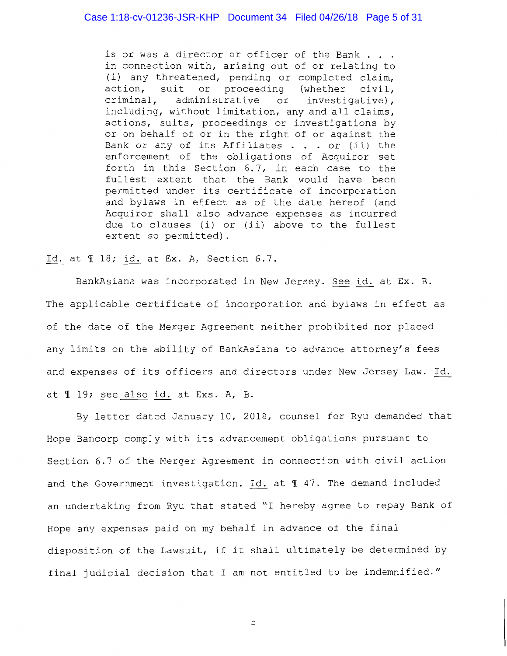is or was a director or officer of the Bank . . . in connection with, arising out of or relating to (i) any threatened, pending or completed claim, action, suit or proceeding (whether civil,<br>criminal, administrative or investigative), or investigative), including, without limitation, any and all claims, actions, suits, proceedings or investigations by or on behalf of or in the right of or against the Bank or any of its Affiliates  $\ldots$  or (ii) the enforcement of the obligations of Acquiror set forth in this Section  $6.7$ , in each case to the fullest extent that the Bank would have been permitted under its certificate of incorporation and bylaws in effect as of the date hereof (and Acquiror shall also advance expenses as incurred due to clauses (i) or (ii) above to the fullest extent so permitted).

Id. at  $\text{\ensuremath{\mathfrak{N}}}$  18; id. at Ex. A, Section 6.7.

BankAsiana was incorporated in New Jersey. See id. at Ex. B. The applicable certificate of incorporation and bylaws in effect as of the date of the Merger Agreement neither prohibited nor placed any limits on the ability of BankAsiana to advance attorney's fees and expenses of its officers and directors under New Jersey Law. Id. at  $\text{\texttt{I}}$  19; see also id. at Exs. A, B.

By letter dated January 10, 2018, counsel for Ryu demanded that Hope Bancorp comply with its advancement obligations pursuant to Section 6.7 of the Merger Agreement in connection with civil action and the Government investigation. Id. at  $\text{\texttt{M}}$  47. The demand included an undertaking from Ryu that stated "I hereby agree to repay Bank of Hope any expenses paid on my behalf in advance of the final disposition of the Lawsuit, if it shall ultimately be determined by final judicial decision that I am not entitled to be indemnified."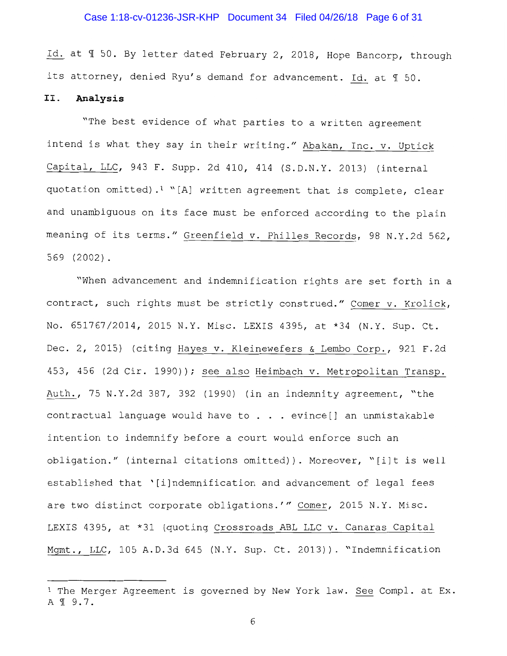## Case 1:18-cv-01236-JSR-KHP Document 34 Filed 04/26/18 Page 6 of 31

Id. at  $\text{\texttt{I}}$  50. By letter dated February 2, 2018, Hope Bancorp, through its attorney, denied Ryu's demand for advancement. Id. at 1 50.

## II. **Analysis**

"The best evidence of what parties to a written agreement intend is what they say in their writing." Abakan, Inc. v. Uptick Capital, LLC, 943 F. Supp. 2d 410, 414 (S.D.N.Y. 2013) (internal quotation omitted).<sup>1</sup> "[A] written agreement that is complete, clear and unambiguous on its face must be enforced according to the plain meaning of its terms." Greenfield v. Philles Records, 98 N.Y.2d 562, 569 (2002).

"When advancement and indemnification rights are set forth in a contract, such rights must be strictly construed." Comer v. Krolick, No. 651767/2014, 2015 N.Y. Misc. LEXIS 4395, at \*34 (N.Y. Sup. Ct. Dec. 2, 2015) (citing Hayes v. Kleinewefers & Lembo Corp., 921 F.2d 453, 456 (2d Cir. 1990)); see also Heimbach v. Metropolitan Transp. Auth., 75 N.Y.2d 387, 392 (1990) (in an indemnity agreement, "the contractual language would have to . . evince[] an unmistakable intention to indemnify before a court would enforce such an obligation." (internal citations omitted)). Moreover, "[i]t is well established that '[i]ndemnification and advancement of legal fees are two distinct corporate obligations.'" Comer, 2015 N.Y. Misc. LEXIS 4395, at \*31 (quoting Crossroads ABL LLC v. Canaras Capital Mgmt., LLC, 105 A.D.3d 645 (N.Y. Sup. Ct. 2013)). "Indemnification

<sup>&</sup>lt;sup>1</sup> The Merger Agreement is governed by New York law. See Compl. at Ex. A 19.7.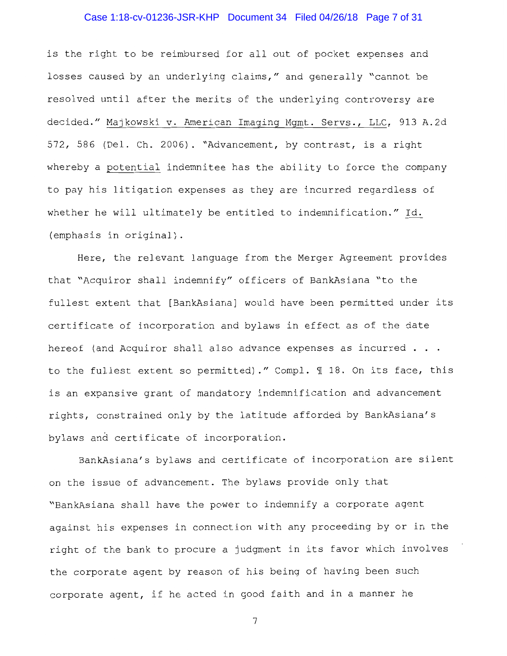# Case 1:18-cv-01236-JSR-KHP Document 34 Filed 04/26/18 Page 7 of 31

is the right to be reimbursed for all out of pocket expenses and losses caused by an underlying claims," and generally "cannot be resolved until after the merits of the underlying controversy are decided." Majkowski v. American Imaging Mgmt. Servs., LLC, 913 A.2d 572, 586 (Del. Ch. 2006). "Advancement, by contrast, is a right whereby a potential indemnitee has the ability to force the company to pay his litigation expenses as they are incurred regardless of whether he will ultimately be entitled to indemnification." Id. (emphasis in original).

Here, the relevant language from the Merger Agreement provides that "Acquiror shall indemnify" officers of BankAsiana "to the fullest extent that [BankAsiana] would have been permitted under its certificate of incorporation and bylaws in effect as of the date hereof (and Acquiror shall also advance expenses as incurred . . . to the fullest extent so permitted)." Compl.  $\mathbb I$  18. On its face, this is an expansive grant of mandatory indemnification and advancement rights, constrained only by the latitude afforded by BankAsiana's bylaws and certificate of incorporation.

BankAsiana's bylaws and certificate of incorporation are silent on the issue of advancement. The bylaws provide only that "BankAsiana shall have the power to indemnify a corporate agent against his expenses in connection with any proceeding by or in the right of the bank to procure a judgment in its favor which involves the corporate agent by reason of his being of having been such corporate agent, if he acted in good faith and in a manner he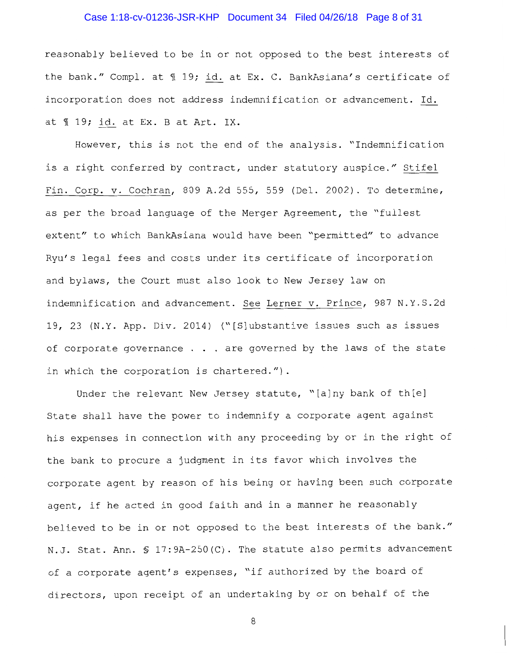# Case 1:18-cv-01236-JSR-KHP Document 34 Filed 04/26/18 Page 8 of 31

reasonably believed to be in or not opposed to the best interests of the bank." Compl. at  $\text{\texttt{I}}$  19; id. at Ex. C. BankAsiana's certificate of incorporation does not address indemnification or advancement. Id. at  $\text{\texttt{M}}$  19; id. at Ex. B at Art. IX.

However, this is not the end of the analysis. "Indemnification is a right conferred by contract, under statutory auspice." Stifel Fin. Corp. v. Cochran, 809 A.2d 555, 559 (Del. 2002). To determine, as per the broad language of the Merger Agreement, the "fullest extent" to which BankAsiana would have been "permitted" to advance Ryu's legal fees and costs under its certificate of incorporation and bylaws, the Court must also look to New Jersey law on indemnification and advancement. See Lerner v. Prince, 987 N.Y.S.2d 19, 23 (N.Y. App. Div. 2014) ("[S]ubstantive issues such as issues of corporate governance  $\ldots$  are governed by the laws of the state in which the corporation is chartered.").

Under the relevant New Jersey statute, "[a]ny bank of th[e] State shall have the power to indemnify a corporate agent against his expenses in connection with any proceeding by or in the right of the bank to procure a judgment in its favor which involves the corporate agent by reason of his being or having been such corporate agent, if he acted in good faith and in a manner he reasonably believed to be in or not opposed to the best interests of the bank." N.J. Stat. Ann. § 17:9A-250(C). The statute also permits advancement of a corporate agent's expenses, "if authorized by the board of directors, upon receipt of an undertaking by or on behalf of the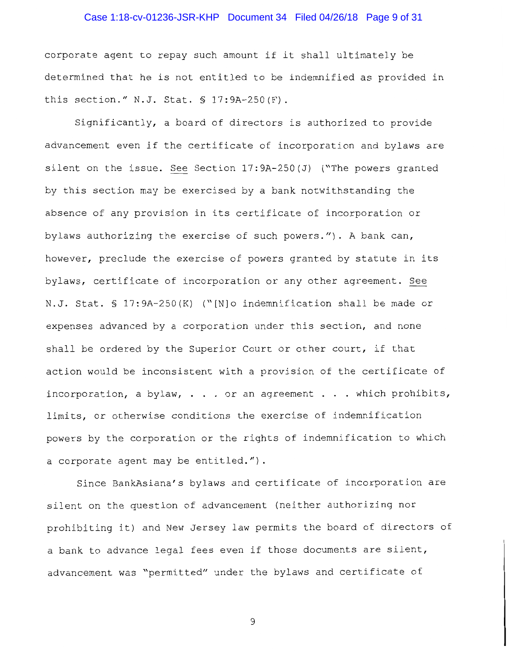## Case 1:18-cv-01236-JSR-KHP Document 34 Filed 04/26/18 Page 9 of 31

corporate agent to repay such amount if it shall ultimately be determined that he is not entitled to be indemnified as provided in this section." N.J. Stat. § 17:9A-250(F).

Significantly, a board of directors is authorized to provide advancement even if the certificate of incorporation and bylaws are silent on the issue. See Section 17:9A-250(J) ("The powers granted by this section may be exercised by a bank notwithstanding the absence of any provision in its certificate of incorporation or bylaws authorizing the exercise of such powers."). A bank can, however, preclude the exercise of powers granted by statute in its bylaws, certificate of incorporation or any other agreement. See N.J. Stat. § 17:9A-250(K) ("[N]o indemnification shall be made or expenses advanced by a corporation under this section, and none shall be ordered by the Superior Court or other court, if that action would be inconsistent with a provision of the certificate of incorporation, a bylaw,  $\ldots$  or an agreement  $\ldots$  which prohibits, limits, or otherwise conditions the exercise of indemnification powers by the corporation or the rights of indemnification to which a corporate agent may be entitled.").

Since BankAsiana's bylaws and certificate of incorporation are silent on the question of advancement (neither authorizing nor prohibiting it) and New Jersey law permits the board of directors of a bank to advance legal fees even if those documents are silent, advancement was "permitted" under the bylaws and certificate of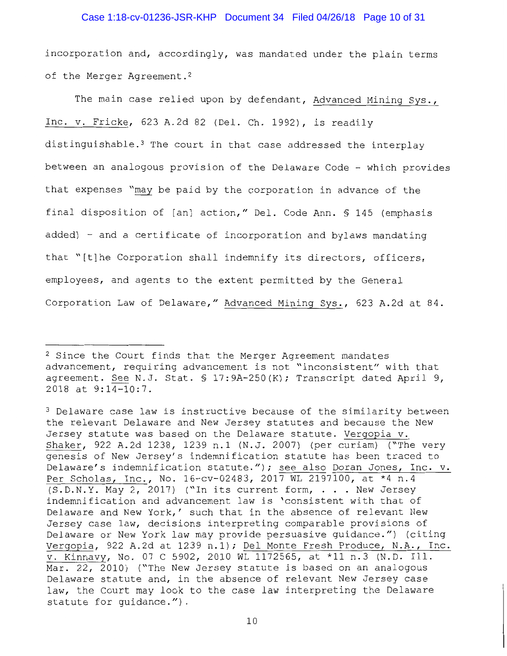#### Case 1:18-cv-01236-JSR-KHP Document 34 Filed 04/26/18 Page 10 of 31

incorporation and, accordingly, was mandated under the plain terms of the Merger Agreement.<sup>2</sup>

The main case relied upon by defendant, Advanced Mining Sys., Inc. v. Fricke, 623 A.2d 82 (Del. Ch. 1992), is readily distinguishable.<sup>3</sup> The court in that case addressed the interplay between an analogous provision of the Delaware Code - which provides that expenses "may be paid by the corporation in advance of the final disposition of [an] action," Del. Code Ann. § 145 (emphasis added) - and a certificate of incorporation and bylaws mandating that "[t]he Corporation shall indemnify its directors, officers, employees, and agents to the extent permitted by the General Corporation Law of Delaware," Advanced Mining Sys., 623 A.2d at 84.

<sup>2</sup> Since the Court finds that the Merger Agreement mandates advancement, requiring advancement is not "inconsistent" with that agreement. See N.J. Stat. § 17:9A-250(K); Transcript dated April 9, 2018 at 9:14-10:7.

<sup>3</sup> Delaware case law is instructive because of the similarity between the relevant Delaware and New Jersey statutes and because the New Jersey statute was based on the Delaware statute. Vergopia v. Shaker, 922 A.2d 1238, 1239 n.1 (N.J. 2007) (per curiam) ("The very genesis of New Jersey's indemnification statute has been traced to Delaware's indemnification statute."); see also Doran Jones, Inc. v. Per Scholas, Inc., No. 16-cv-02483, 2017 WL 2197100, at \*4 n.4 (S.D.N.Y. May 2, 2017) ("In its current form, . New Jersey indemnification and advancement law is 'consistent with that of Delaware and New York,' such that in the absence of relevant New Jersey case law, decisions interpreting comparable provisions of Delaware or New York law may provide persuasive guidance.") (citing Vergopia, 922 A.2d at 1239 n.1); Del Monte Fresh Produce, N.A., Inc. v. Kinnavy, No. 07 C 5902, 2010 WL 1172565, at \*11 n.3 (N.D. Ill. Mar. 22, 2010) ("The New Jersey statute is based on an analogous Delaware statute and, in the absence of relevant New Jersey case law, the Court may look to the case law interpreting the Delaware statute for guidance.").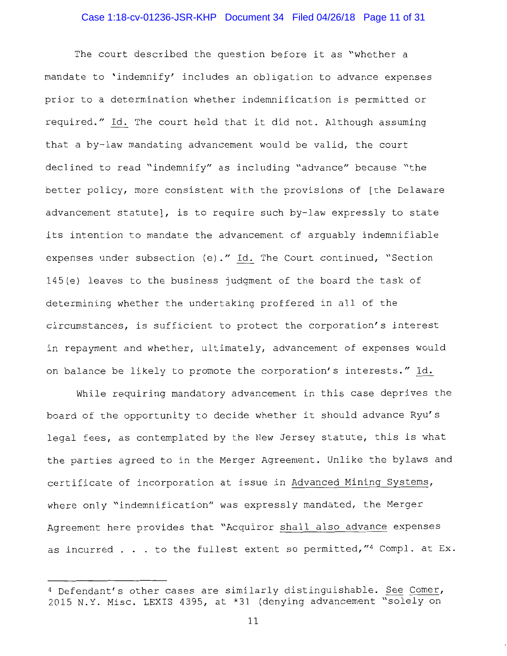## Case 1:18-cv-01236-JSR-KHP Document 34 Filed 04/26/18 Page 11 of 31

The court described the question before it as "whether a mandate to 'indemnify' includes an obligation to advance expenses prior to a determination whether indemnification is permitted or required." Id. The court held that it did not. Although assuming that a by-law mandating advancement would be valid, the court declined to read "indemnify" as including "advance" because "the better policy, more consistent with the provisions of [the Delaware advancement statute], is to require such by-law expressly to state its intention to mandate the advancement of arguably indemnifiable expenses under subsection (e) ." Id. The Court continued, "Section 145(e) leaves to the business judgment of the board the task of determining whether the undertaking proffered in all of the circumstances, is sufficient to protect the corporation's interest in repayment and whether, ultimately, advancement of expenses would on balance be likely to promote the corporation's interests." Id.

While requiring mandatory advancement in this case deprives the board of the opportunity to decide whether it should advance Ryu's legal fees, as contemplated by the New Jersey statute, this is what the parties agreed to in the Merger Agreement. Unlike the bylaws and certificate of incorporation at issue in Advanced Mining Systems, where only "indemnification" was expressly mandated, the Merger Agreement here provides that "Acquiror shall also advance expenses as incurred . . . to the fullest extent so permitted, "4 Compl. at Ex.

<sup>4</sup> Defendant's other cases are similarly distinguishable. See Comer, 2015 N.Y. Misc. LEXIS 4395, at \*31 (denying advancement "solely on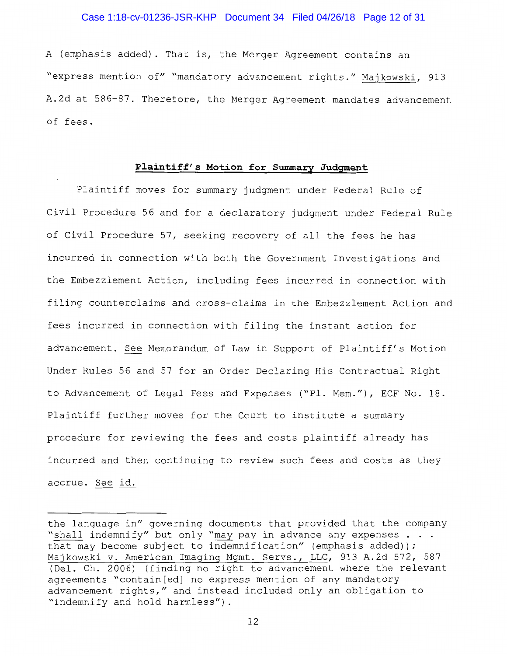#### Case 1:18-cv-01236-JSR-KHP Document 34 Filed 04/26/18 Page 12 of 31

A (emphasis added). That is, the Merger Agreement contains an "express mention of" "mandatory advancement rights." Majkowski, 913 A.2d at 586-87. Therefore, the Merger Agreement mandates advancement of fees.

#### **Plaintiff's Motion for Summary Judgment**

Plaintiff moves for summary judgment under Federal Rule of Civil Procedure 56 and for a declaratory judgment under Federal Rule of Civil Procedure 57, seeking recovery of all the fees he has incurred in connection with both the Government Investigations and the Embezzlement Action, including fees incurred in connection with filing counterclaims and cross-claims in the Embezzlement Action and fees incurred in connection with filing the instant action for advancement. See Memorandum of Law in Support of Plaintiff's Motion Under Rules 56 and 57 for an Order Declaring His Contractual Right to Advancement of Legal Fees and Expenses ("Pl. Mem."), ECF No. 18. Plaintiff further moves for the Court to institute a summary procedure for reviewing the fees and costs plaintiff already has incurred and then continuing to review such fees and costs as they accrue. See id.

the language in" governing documents that provided that the company "shall indemnify" but only "may pay in advance any expenses . . . that may become subject to indemnification" (emphasis added)); Majkowski v. American Imaging Mgmt. Servs., LLC, 913 A.2d 572, 587 (Del. Ch. 2006) (finding no right to advancement where the relevant agreements "contain[ed] no express mention of any mandatory advancement rights," and instead included only an obligation to "indemnify and hold harmless") .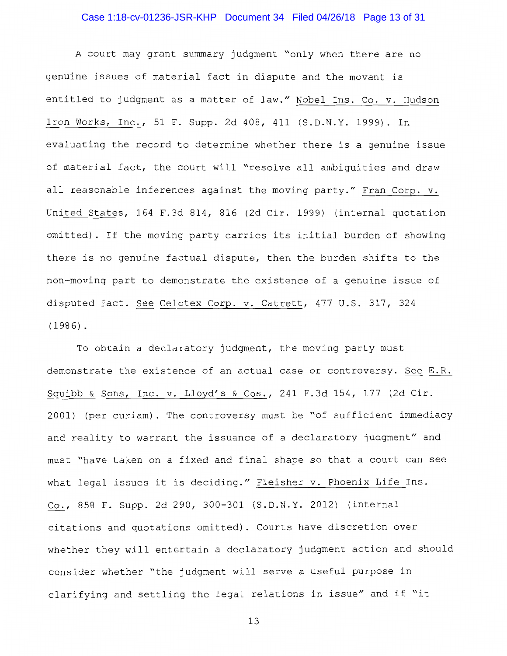# Case 1:18-cv-01236-JSR-KHP Document 34 Filed 04/26/18 Page 13 of 31

A court may grant summary judgment "only when there are no genuine issues of material fact in dispute and the movant is entitled to judgment as a matter of law." Nobel Ins. Co. v. Hudson Iron Works, Inc., 51 F. Supp. 2d 408, 411 (S.D.N.Y. 1999). In evaluating the record to determine whether there is a genuine issue of material fact, the court will "resolve all ambiguities and draw all reasonable inferences against the moving party." Fran Corp. v. United States, 164 F.3d 814, 816 (2d Cir. 1999) (internal quotation omitted). If the moving party carries its initial burden of showing there is no genuine factual dispute, then the burden shifts to the non-moving part to demonstrate the existence of a genuine issue of disputed fact. See Celotex Corp. v. Catrett, 477 U.S. 317, 324 ( 1986) .

To obtain a declaratory judgment, the moving party must demonstrate the existence of an actual case or controversy. See E.R. Squibb & Sons, Inc. v. Lloyd's & Cos., 241 F.3d 154, 177 (2d Cir. 2001) (per curiam) . The controversy must be "of sufficient immediacy and reality to warrant the issuance of a declaratory judgment" and must "have taken on a fixed and final shape so that a court can see what legal issues it is deciding." Fleisher v. Phoenix Life Ins. Co., 858 F. Supp. 2d 290, 300-301 (S.D.N.Y. 2012) (internal citations and quotations omitted). Courts have discretion over whether they will entertain a declaratory judgment action and should consider whether "the judgment will serve a useful purpose in clarifying and settling the legal relations in issue" and if "it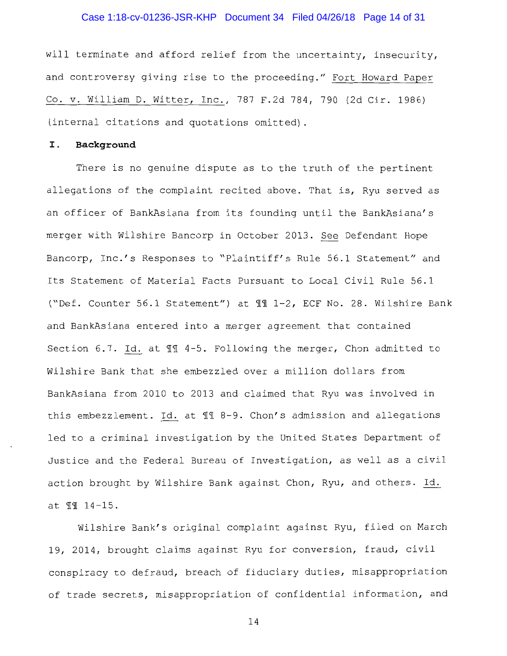## Case 1:18-cv-01236-JSR-KHP Document 34 Filed 04/26/18 Page 14 of 31

will terminate and afford relief from the uncertainty, insecurity, and controversy giving rise to the proceeding." Fort Howard Paper Co. v. William D. Witter, Inc., 787 F.2d 784, 790 (2d Cir. 1986) (internal citations and quotations omitted).

#### I. **Background**

There is no genuine dispute as to the truth of the pertinent allegations of the complaint recited above. That is, Ryu served as an officer of BankAsiana from its founding until the BankAsiana's merger with Wilshire Bancorp in October 2013. See Defendant Hope Bancorp, Inc.'s Responses to "Plaintiff's Rule 56.1 Statement" and Its Statement of Material Facts Pursuant to Local Civil Rule 56.1 ("Def. Counter 56.1 Statement") at 111-2, ECF No. 28. Wilshire Bank and BankAsiana entered into a merger agreement that contained Section 6.7. Id. at  $\mathbb{II}$  4-5. Following the merger, Chon admitted to Wilshire Bank that she embezzled over a million dollars from BankAsiana from 2010 to 2013 and claimed that Ryu was involved in this embezzlement. Id. at  $\P$  % 8-9. Chon's admission and allegations led to a criminal investigation by the United States Department of Justice and the Federal Bureau of Investigation, as well as a civil action brought by Wilshire Bank against Chon, Ryu, and others. Id. at  $II 14-15$ .

Wilshire Bank's original complaint against Ryu, filed on March 19, 2014, brought claims against Ryu for conversion, fraud, civil conspiracy to defraud, breach of fiduciary duties, misappropriation of trade secrets, misappropriation of confidential information, and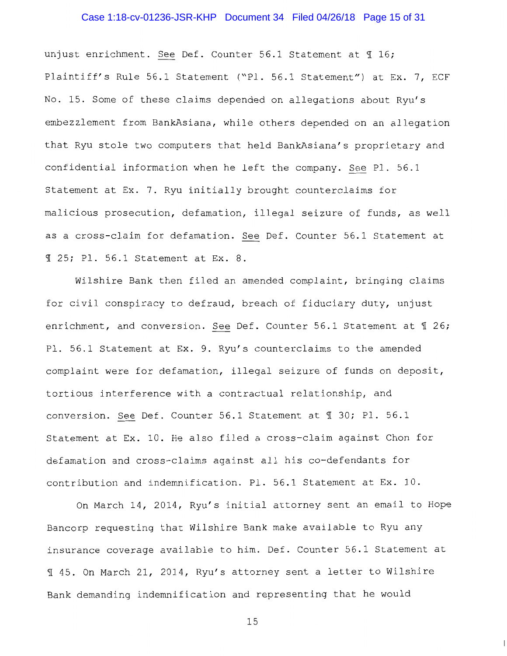## Case 1:18-cv-01236-JSR-KHP Document 34 Filed 04/26/18 Page 15 of 31

unjust enrichment. See Def. Counter 56.1 Statement at 16; Plaintiff's Rule 56.1 Statement ("Pl. 56.1 Statement") at Ex. 7, ECF No. 15. Some of these claims depended on allegations about Ryu's embezzlement from BankAsiana, while others depended on an allegation that Ryu stole two computers that held BankAsiana's proprietary and confidential information when he left the company. See Pl. 56.1 Statement at Ex. 7. Ryu initially brought counterclaims for malicious prosecution, defamation, illegal seizure of funds, as well as a cross-claim for defamation. See Def. Counter 56.l Statement at <sup>~</sup>25; Pl. 56.l Statement at Ex. 8.

Wilshire Bank then filed an amended complaint, bringing claims for civil conspiracy to defraud, breach of fiduciary duty, unjust enrichment, and conversion. See Def. Counter 56.1 Statement at  $\text{\texttt{T}}$  26; Pl. 56.l Statement at Ex. 9. Ryu's counterclaims to the amended complaint were for defamation, illegal seizure of funds on deposit, tortious interference with a contractual relationship, and conversion. See Def. Counter 56.1 Statement at  $\text{\textsterling}$  30; Pl. 56.1 Statement at Ex. 10. He also filed a cross-claim against Chon for defamation and cross-claims against all his co-defendants for contribution and indemnification. Pl. 56.l Statement at Ex. 10.

On March 14, 2014, Ryu's initial attorney sent an email to Hope Bancorp requesting that Wilshire Bank make available to Ryu any insurance coverage available to him. Def. Counter 56.l Statement at 145. On March 21, 2014, Ryu's attorney sent a letter to Wilshire Bank demanding indemnification and representing that he would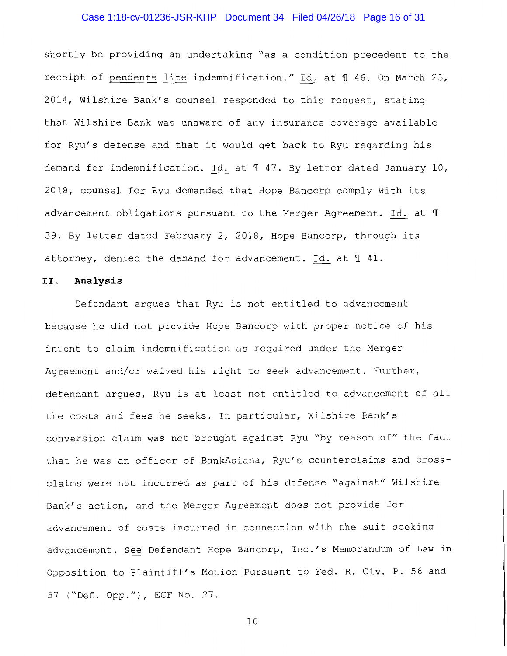## Case 1:18-cv-01236-JSR-KHP Document 34 Filed 04/26/18 Page 16 of 31

shortly be providing an undertaking "as a condition precedent to the receipt of pendente lite indemnification." Id. at 1 46. On March 25, 2014, Wilshire Bank's counsel responded to this request, stating that Wilshire Bank was unaware of any insurance coverage available for Ryu's defense and that it would get back to Ryu regarding his demand for indemnification. Id. at  $\text{\texttt{I}}$  47. By letter dated January 10, 2018, counsel for Ryu demanded that Hope Bancorp comply with its advancement obligations pursuant to the Merger Agreement. Id. at  $$$ 39. By letter dated February 2, 2018, Hope Bancorp, through its attorney, denied the demand for advancement. Id. at  $\text{\textsterling}~41.$ 

## II. **Analysis**

Defendant argues that Ryu is not entitled to advancement because he did not provide Hope Bancorp with proper notice of his intent to claim indemnification as required under the Merger Agreement and/or waived his right to seek advancement. Further, defendant argues, Ryu is at least not entitled to advancement of all the costs and fees he seeks. In particular, Wilshire Bank's conversion claim was not brought against Ryu "by reason of" the fact that he was an officer of BankAsiana, Ryu's counterclaims and crossclaims were not incurred as part of his defense "against" Wilshire Bank's action, and the Merger Agreement does not provide for advancement of costs incurred in connection with the suit seeking advancement. See Defendant Hope Bancorp, Inc.'s Memorandum of Law in Opposition to Plaintiff's Motion Pursuant to Fed. R. Civ. P. 56 and 57 ("Def. Opp."), ECF No. 27.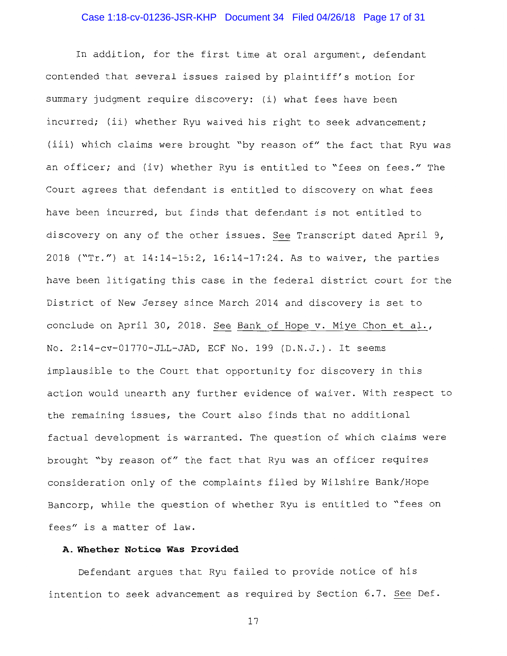# Case 1:18-cv-01236-JSR-KHP Document 34 Filed 04/26/18 Page 17 of 31

In addition, for the first time at oral argument, defendant contended that several issues raised by plaintiff's motion for summary judgment require discovery: (i) what fees have been incurred; (ii) whether Ryu waived his right to seek advancement; (iii) which claims were brought "by reason of" the fact that Ryu was an officer; and (iv) whether Ryu is entitled to "fees on fees." The Court agrees that defendant is entitled to discovery on what fees have been incurred, but finds that defendant is not entitled to discovery on any of the other issues. See Transcript dated April 9, 2018 ("Tr.") at 14:14-15:2, 16:14-17:24. As to waiver, the parties have been litigating this case in the federal district court for the District of New Jersey since March 2014 and discovery is set to conclude on April 30, 2018. See Bank of Hope v. Miye Chon et al., No. 2:14-cv-01770-JLL-JAD, ECF No. 199 (D.N.J.). It seems implausible to the Court that opportunity for discovery in this action would unearth any further evidence of waiver. With respect to the remaining issues, the Court also finds that no additional factual development is warranted. The question of which claims were brought "by reason of" the fact that Ryu was an officer requires consideration only of the complaints filed by Wilshire Bank/Hope Bancorp, while the question of whether Ryu is entitled to "fees on fees" is a matter of law.

## **A. Whether Notice Was Provided**

Defendant argues that Ryu failed to provide notice of his intention to seek advancement as required by Section 6.7. See Def.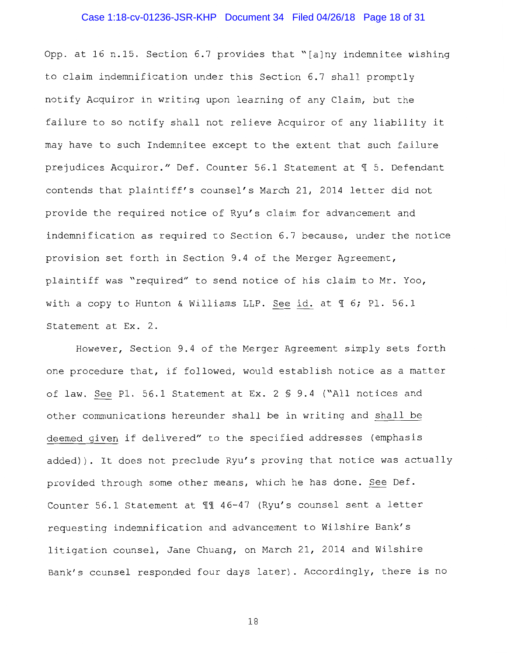## Case 1:18-cv-01236-JSR-KHP Document 34 Filed 04/26/18 Page 18 of 31

Opp. at 16 n.15. Section 6.7 provides that "[a]ny indemnitee wishing to claim indemnification under this Section 6.7 shall promptly notify Acquiror in writing upon learning of any Claim, but the failure to so notify shall not relieve Acquiror of any liability it may have to such Indemnitee except to the extent that such failure prejudices Acquiror." Def. Counter 56.1 Statement at 1 5. Defendant contends that plaintiff's counsel's March 21, 2014 letter did not provide the required notice of Ryu's claim for advancement and indemnification as required to Section 6.7 because, under the notice provision set forth in Section 9.4 of the Merger Agreement, plaintiff was "required" to send notice of his claim to Mr. Yoo, with a copy to Hunton & Williams LLP. See id. at  $\text{\%}$  6; Pl. 56.1 Statement at Ex. 2.

However, Section 9.4 of the Merger Agreement simply sets forth one procedure that, if followed, would establish notice as a matter of law. See Pl. 56.1 Statement at Ex. 2 § 9.4 ("All notices and other communications hereunder shall be in writing and shall be deemed given if delivered" to the specified addresses (emphasis added)). It does not preclude Ryu's proving that notice was actually provided through some other means, which he has done. See Def. Counter 56.1 Statement at  $M$  46-47 (Ryu's counsel sent a letter requesting indemnification and advancement to Wilshire Bank's litigation counsel, Jane Chuang, on March 21, 2014 and Wilshire Bank's counsel responded four days later). Accordingly, there is no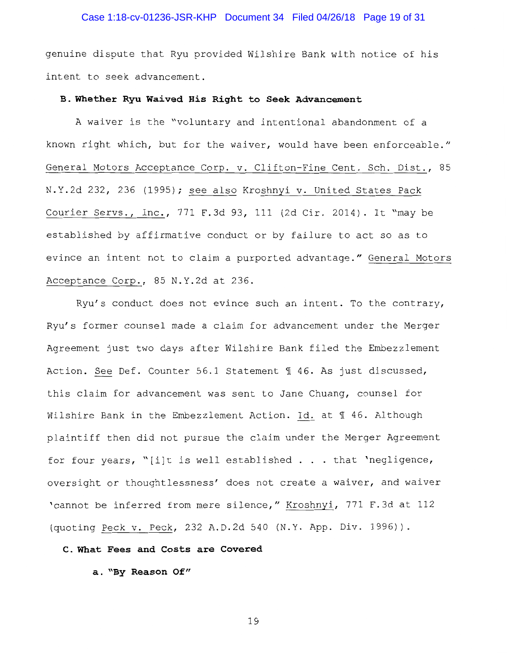## Case 1:18-cv-01236-JSR-KHP Document 34 Filed 04/26/18 Page 19 of 31

genuine dispute that Ryu provided Wilshire Bank with notice of his intent to seek advancement.

#### **B. Whether Ryu Waived His Right to Seek Advancement**

A waiver is the "voluntary and intentional abandonment of a known right which, but for the waiver, would have been enforceable." General Motors Acceptance Corp. v. Clifton-Fine Cent. Sch. Dist., 85 N.Y.2d 232, 236 (1995); see also Kroshnyi v. United States Pack Courier Servs., Inc., 771 F.3d 93, 111 (2d Cir. 2014). It "may be established by affirmative conduct or by failure to act so as to evince an intent not to claim a purported advantage." General Motors Acceptance Corp., 85 N.Y.2d at 236.

Ryu's conduct does not evince such an intent. To the contrary, Ryu's former counsel made a claim for advancement under the Merger Agreement just two days after Wilshire Bank filed the Embezzlement Action. See Def. Counter 56.1 Statement 1 46. As just discussed, this claim for advancement was sent to Jane Chuang, counsel for Wilshire Bank in the Embezzlement Action. Id. at 1 46. Although plaintiff then did not pursue the claim under the Merger Agreement for four years, "[i]t is well established  $\ldots$  that 'negligence, oversight or thoughtlessness' does not create a waiver, and waiver 'cannot be inferred from mere silence," Kroshnyi, 771 F.3d at 112 (quoting Peck v. Peck, 232 A.D.2d 540 (N.Y. App. Div. 1996)).

## **C. What Fees and Costs are Covered**

**a. "By Reason Of"**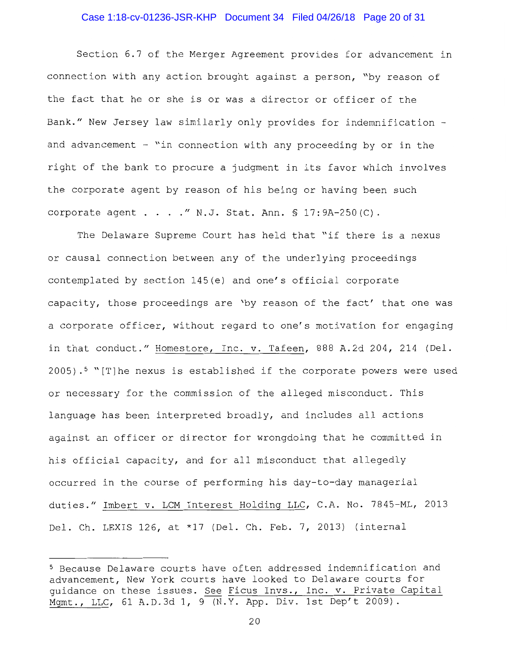#### Case 1:18-cv-01236-JSR-KHP Document 34 Filed 04/26/18 Page 20 of 31

Section 6.7 of the Merger Agreement provides for advancement in connection with any action brought against a person, "by reason of the fact that he or she is or was a director or officer of the Bank." New Jersey law similarly only provides for indemnification and advancement  $-$  "in connection with any proceeding by or in the right of the bank to procure a judgment in its favor which involves the corporate agent by reason of his being or having been such corporate agent . . . . " N.J. Stat. Ann.  $S$  17:9A-250(C).

The Delaware Supreme Court has held that "if there is a nexus or causal connection between any of the underlying proceedings contemplated by section 145(e) and one's official corporate capacity, those proceedings are 'by reason of the fact' that one was a corporate officer, without regard to one's motivation for engaging in that conduct." Homestore, Inc. v. Tafeen, 888 A.2d 204, 214 (Del.  $2005$ ).<sup>5</sup> "[T]he nexus is established if the corporate powers were used or necessary for the commission of the alleged misconduct. This language has been interpreted broadly, and includes all actions against an officer or director for wrongdoing that he committed in his official capacity, and for all misconduct that allegedly occurred in the course of performing his day-to-day managerial duties." Imbert v. LCM Interest Holding LLC, C.A. No. 7845-ML, 2013 Del. Ch. LEXIS 126, at \*17 (Del. Ch. Feb. 7, 2013) (internal

<sup>5</sup> Because Delaware courts have often addressed indemnification and advancement, New York courts have looked to Delaware courts for guidance on these issues. See Ficus Invs., Inc. v. Private Capital Mgmt., LLC, 61 A.D.3d 1, 9 (N.Y. App. Div. 1st Dep't 2009).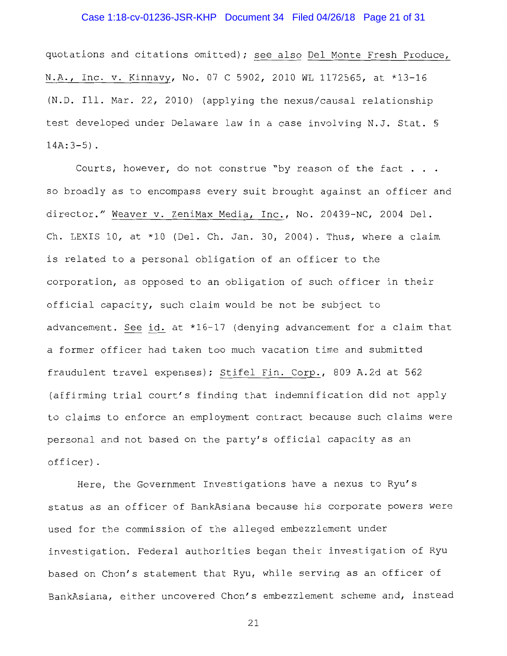## Case 1:18-cv-01236-JSR-KHP Document 34 Filed 04/26/18 Page 21 of 31

quotations and citations omitted); see also Del Monte Fresh Produce, N.A., Inc. v. Kinnavy, No. 07 C 5902, 2010 WL 1172565, at \*13-16 (N.D. Ill. Mar. 22, 2010) (applying the nexus/causal relationship test developed under Delaware law in a case involving N.J. Stat. §  $14A:3-5)$ .

Courts, however, do not construe "by reason of the fact . . . so broadly as to encompass every suit brought against an officer and director." Weaver v. ZeniMax Media, Inc., No. 20439-NC, 2004 Del. Ch. LEXIS 10, at \*10 (Del. Ch. Jan. 30, 2004). Thus, where a claim is related to a personal obligation of an officer to the corporation, as opposed to an obligation of such officer in their official capacity, such claim would be not be subject to advancement. See id. at \*16-17 (denying advancement for a claim that a former officer had taken too much vacation time and submitted fraudulent travel expenses); Stifel Fin. Corp., 809 A.2d at 562 (affirming trial court's finding that indemnification did not apply to claims to enforce an employment contract because such claims were personal and not based on the party's official capacity as an officer).

Here, the Government Investigations have a nexus to Ryu's status as an officer of BankAsiana because his corporate powers were used for the commission of the alleged embezzlement under investigation. Federal authorities began their investigation of Ryu based on Chon's statement that Ryu, while serving as an officer of BankAsiana, either uncovered Chon's embezzlement scheme and, instead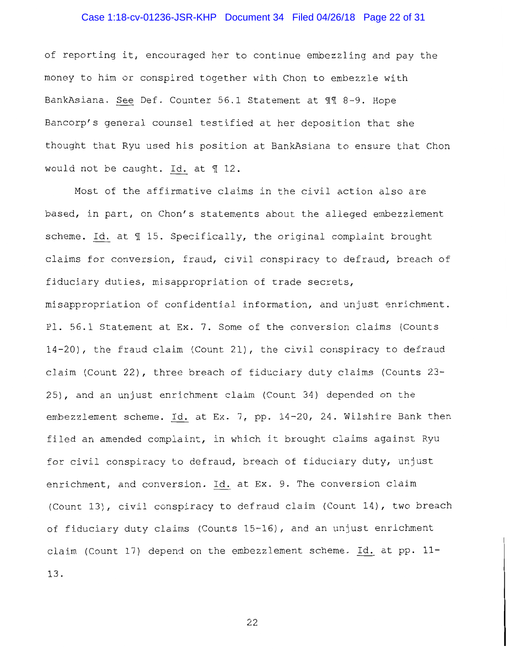## Case 1:18-cv-01236-JSR-KHP Document 34 Filed 04/26/18 Page 22 of 31

of reporting it, encouraged her to continue embezzling and pay the money to him or conspired together with Chon to embezzle with BankAsiana. See Def. Counter 56.1 Statement at 11 8-9. Hope Bancorp's general counsel testified at her deposition that she thought that Ryu used his position at BankAsiana to ensure that Chon would not be caught. Id. at  $\text{\texttt{N}}$  12.

Most of the affirmative claims in the civil action also are based, in part, on Chon's statements about the alleged embezzlement scheme. Id. at  $\text{\texttt{I}}$  15. Specifically, the original complaint brought claims for conversion, fraud, civil conspiracy to defraud, breach of fiduciary duties, misappropriation of trade secrets, misappropriation of confidential information, and unjust enrichment. Pl. 56.1 Statement at Ex. 7. Some of the conversion claims (Counts 14-20), the fraud claim (Count 21), the civil conspiracy to defraud claim (Count 22), three breach of fiduciary duty claims (Counts 23- 25), and an unjust enrichment claim (Count 34) depended on the embezzlement scheme. Id. at Ex. 7, pp. 14-20, 24. Wilshire Bank then filed an amended complaint, in which it brought claims against Ryu for civil conspiracy to defraud, breach of fiduciary duty, unjust enrichment, and conversion. Id. at Ex. 9. The conversion claim (Count 13), civil conspiracy to defraud claim (Count 14), two breach of fiduciary duty claims (Counts 15-16), and an unjust enrichment claim (Count 17) depend on the embezzlement scheme. Id. at pp. 11- 13.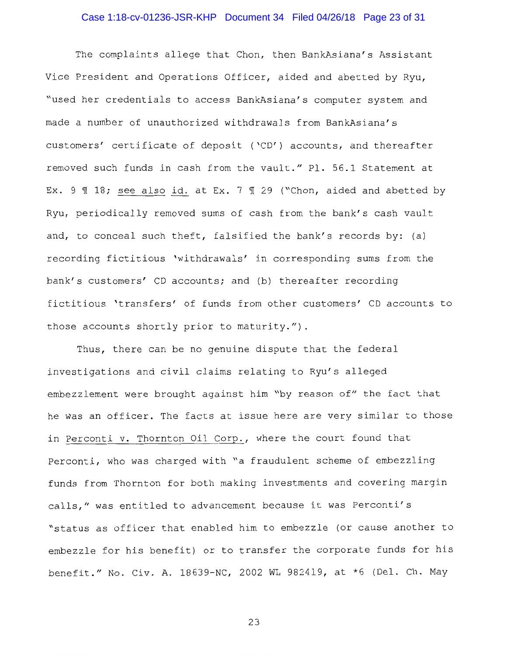## Case 1:18-cv-01236-JSR-KHP Document 34 Filed 04/26/18 Page 23 of 31

The complaints allege that Chon, then BankAsiana's Assistant Vice President and Operations Officer, aided and abetted by Ryu, "used her credentials to access BankAsiana's computer system and made a number of unauthorized withdrawals from BankAsiana's customers' certificate of deposit ('CD') accounts, and thereafter removed such funds in cash from the vault." Pl. 56.1 Statement at Ex. 9  $\text{\textsterling}$  18; see also id. at Ex. 7  $\text{\textsterling}$  29 ("Chon, aided and abetted by Ryu, periodically removed sums of cash from the bank's cash vault and, to conceal such theft, falsified the bank's records by: (a) recording fictitious 'withdrawals' in corresponding sums from the bank's customers' CD accounts; and (b) thereafter recording fictitious 'transfers' of funds from other customers' CD accounts to those accounts shortly prior to maturity.").

Thus, there can be no genuine dispute that the federal investigations and civil claims relating to Ryu's alleged embezzlement were brought against him "by reason of" the fact that he was an officer. The facts at issue here are very similar to those in Perconti v. Thornton Oil Corp., where the court found that Perconti, who was charged with "a fraudulent scheme of embezzling funds from Thornton for both making investments and covering margin calls," was entitled to advancement because it was Perconti's "status as officer that enabled him to embezzle (or cause another to embezzle for his benefit) or to transfer the corporate funds for his benefit." No. Civ. A. 18639-NC, 2002 WL 982419, at \*6 (Del. Ch. May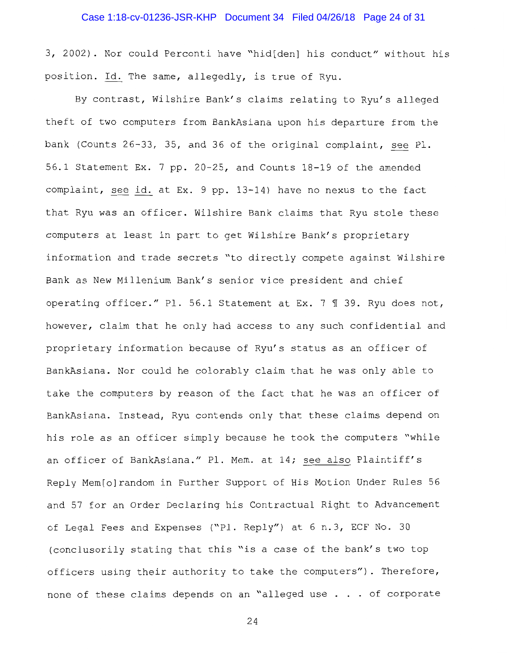## Case 1:18-cv-01236-JSR-KHP Document 34 Filed 04/26/18 Page 24 of 31

3, 2002). Nor could Perconti have "hid[den] his conduct" without his position. Id. The same, allegedly, is true of Ryu.

By contrast, Wilshire Bank's claims relating to Ryu's alleged theft of two computers from BankAsiana upon his departure from the bank (Counts 26-33, 35, and 36 of the original complaint, see Pl. 56.1 Statement Ex. 7 pp. 20-25, and Counts 18-19 of the amended complaint, see id. at Ex. 9 pp. 13-14) have no nexus to the fact that Ryu was an officer. Wilshire Bank claims that Ryu stole these computers at least in part to get Wilshire Bank's proprietary information and trade secrets "to directly compete against Wilshire Bank as New Millenium Bank's senior vice president and chief operating officer." Pl. 56.1 Statement at Ex. 7  $\text{\texttt{T}}$  39. Ryu does not, however, claim that he only had access to any such confidential and proprietary information because of Ryu's status as an officer of BankAsiana. Nor could he colorably claim that he was only able to take the computers by reason of the fact that he was an officer of BankAsiana. Instead, Ryu contends only that these claims depend on his role as an officer simply because he took the computers "while an officer of BankAsiana." Pl. Mem. at 14; see also Plaintiff's Reply Mem[o]random in Further Support of His Motion Under Rules 56 and 57 for an Order Declaring his Contractual Right to Advancement of Legal Fees and Expenses ("Pl. Reply") at 6 n.3, ECF No. 30 (conclusorily stating that this "is a case of the bank's two top officers using their authority to take the computers"). Therefore, none of these claims depends on an "alleged use . . of corporate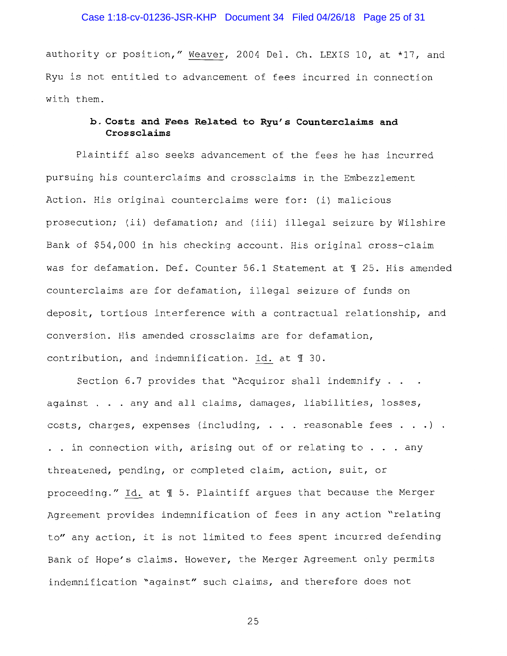## Case 1:18-cv-01236-JSR-KHP Document 34 Filed 04/26/18 Page 25 of 31

authority or position," Weaver, 2004 Del. Ch. LEXIS 10, at \*17, and Ryu is not entitled to advancement of fees incurred in connection with them.

## **b. Costs and Fees Related to Ryu's Counterclaims and Crossclaims**

Plaintiff also seeks advancement of the fees he has incurred pursuing his counterclaims and crossclaims in the Embezzlement Action. His original counterclaims were for: (i) malicious prosecution; (ii) defamation; and (iii) illegal seizure by Wilshire Bank of \$54,000 in his checking account. His original cross-claim was for defamation. Def. Counter 56.1 Statement at ¶ 25. His amended counterclaims are for defamation, illegal seizure of funds on deposit, tortious interference with a contractual relationship, and conversion. His amended crossclaims are for defamation, contribution, and indemnification. Id. at  $\text{\textsterling}~ 30$ .

Section 6.7 provides that "Acquiror shall indemnify . . . against . . . any and all claims, damages, liabilities, losses, costs, charges, expenses (including,  $\ldots$  reasonable fees  $\ldots$  ). . . in connection with, arising out of or relating to  $\ldots$  any threatened, pending, or completed claim, action, suit, or proceeding." Id. at  $\text{\ensuremath{\mathfrak{N}}}$  5. Plaintiff argues that because the Merger Agreement provides indemnification of fees in any action "relating to" any action, it is not limited to fees spent incurred defending Bank of Hope's claims. However, the Merger Agreement only permits indemnification "against" such claims, and therefore does not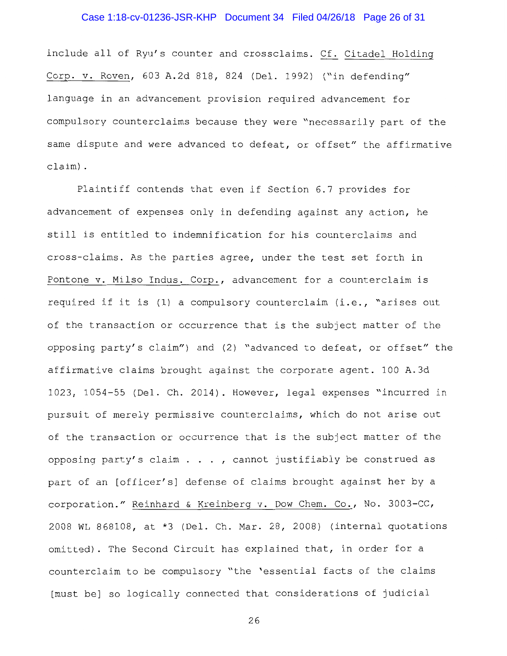## Case 1:18-cv-01236-JSR-KHP Document 34 Filed 04/26/18 Page 26 of 31

include all of Ryu's counter and crossclaims. Cf. Citadel Holding Corp. v. Roven, 603 A.2d 818, 824 (Del. 1992) ("in defending" language in an advancement provision required advancement for compulsory counterclaims because they were "necessarily part of the same dispute and were advanced to defeat, or offset" the affirmative claim) .

Plaintiff contends that even if Section 6.7 provides for advancement of expenses only in defending against any action, he still is entitled to indemnification for his counterclaims and cross-claims. As the parties agree, under the test set forth in Pontone v. Milso Indus. Corp., advancement for a counterclaim is required if it is (1) a compulsory counterclaim (i.e., "arises out of the transaction or occurrence that is the subject matter of the opposing party's claim") and (2) "advanced to defeat, or offset" the affirmative claims brought against the corporate agent. 100 A.3d 1023, 1054-55 (Del. Ch. 2014). However, legal expenses "incurred in pursuit of merely permissive counterclaims, which do not arise out of the transaction or occurrence that is the subject matter of the opposing party's claim  $\ldots$ , cannot justifiably be construed as part of an [officer's] defense of claims brought against her by a corporation." Reinhard & Kreinberg v. Dow Chem. Co., No. 3003-CC, 2008 WL 868108, at \*3 (Del. Ch. Mar. 28, 2008) (internal quotations omitted). The Second Circuit has explained that, in order for a counterclaim to be compulsory "the 'essential facts of the claims [must be] so logically connected that considerations of judicial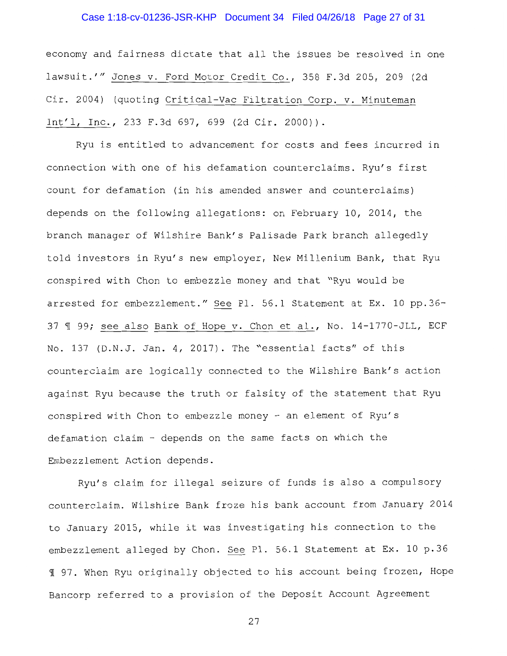## Case 1:18-cv-01236-JSR-KHP Document 34 Filed 04/26/18 Page 27 of 31

economy and fairness dictate that all the issues be resolved in one lawsuit.'" Jones v. Ford Motor Credit Co., 358 F.3d 205, 209 (2d Cir. 2004) (quoting Critical-Vac Filtration Corp. v. Minuteman Int'l, Inc., 233 F.3d 697, 699 (2d Cir. 2000)).

Ryu is entitled to advancement for costs and fees incurred in connection with one of his defamation counterclaims. Ryu's first count for defamation (in his amended answer and counterclaims) depends on the following allegations: on February 10, 2014, the branch manager of Wilshire Bank's Palisade Park branch allegedly told investors in Ryu's new employer, New Millenium Bank, that Ryu conspired with Chon to embezzle money and that "Ryu would be arrested for embezzlement." See Pl. 56.1 Statement at Ex. 10 pp.36- 37 ¶ 99; see also Bank of Hope v. Chon et al., No. 14-1770-JLL, ECF No. 137 (D.N.J. Jan. 4, 2017). The "essential facts" of this counterclaim are logically connected to the Wilshire Bank's action against Ryu because the truth or falsity of the statement that Ryu conspired with Chon to embezzle money - an element of Ryu's defamation claim - depends on the same facts on which the Embezzlement Action depends.

Ryu's claim for illegal seizure of funds is also a compulsory counterclaim. Wilshire Bank froze his bank account from January 2014 to January 2015, while it was investigating his connection to the embezzlement alleged by Chon. See Pl. 56.1 Statement at Ex. 10 p.36 1 97. When Ryu originally objected to his account being frozen, Hope Bancorp referred to a provision of the Deposit Account Agreement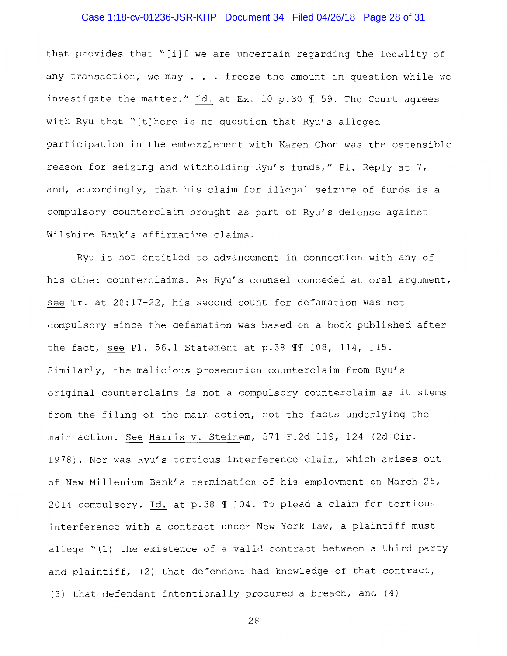## Case 1:18-cv-01236-JSR-KHP Document 34 Filed 04/26/18 Page 28 of 31

that provides that "[i]f we are uncertain regarding the legality of any transaction, we may  $\ldots$  freeze the amount in question while we investigate the matter." Id. at Ex. 10 p.30 ¶ 59. The Court agrees with Ryu that "[t]here is no question that Ryu's alleged participation in the embezzlement with Karen Chon was the ostensible reason for seizing and withholding Ryu's funds," Pl. Reply at 7, and, accordingly, that his claim for illegal seizure of funds is a compulsory counterclaim brought as part of Ryu's defense against Wilshire Bank's affirmative claims.

Ryu is not entitled to advancement in connection with any of his other counterclaims. As Ryu's counsel conceded at oral argument, see Tr. at 20:17-22, his second count for defamation was not compulsory since the defamation was based on a book published after the fact, see Pl. 56.1 Statement at p.38  $\P$  $\P$  108, 114, 115. Similarly, the malicious prosecution counterclaim from Ryu's original counterclaims is not a compulsory counterclaim as it stems from the filing of the main action, not the facts underlying the main action. See Harris v. Steinem, 571 F.2d 119, 124 (2d Cir. 1978). Nor was Ryu's tortious interference claim, which arises out of New Millenium Bank's termination of his employment on March 25, 2014 compulsory. Id. at p.38  $\text{\texttt{M}}$  104. To plead a claim for tortious interference with a contract under New York law, a plaintiff must allege "(l) the existence of a valid contract between a third party and plaintiff, (2) that defendant had knowledge of that contract, (3) that defendant intentionally procured a breach, and (4)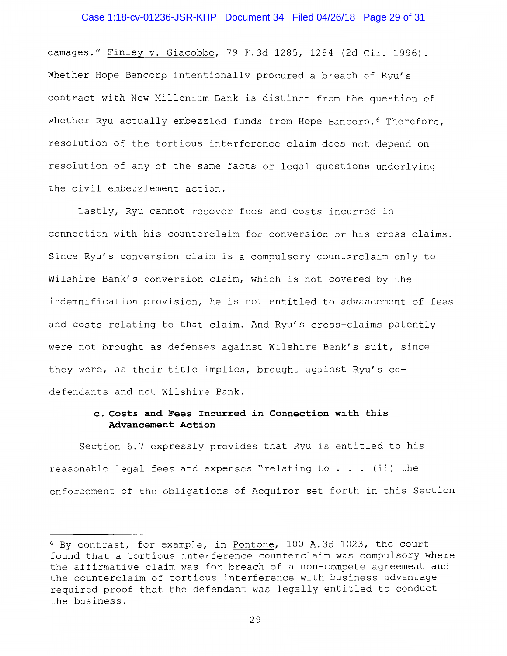#### Case 1:18-cv-01236-JSR-KHP Document 34 Filed 04/26/18 Page 29 of 31

damages." Finley v. Giacobbe, 79 F.3d 1285, 1294 (2d Cir. 1996). Whether Hope Bancorp intentionally procured a breach of Ryu's contract with New Millenium Bank is distinct from the question of whether Ryu actually embezzled funds from Hope Bancorp.<sup>6</sup> Therefore, resolution of the tortious interference claim does not depend on resolution of any of the same facts or legal questions underlying the civil embezzlement action.

Lastly, Ryu cannot recover fees and costs incurred in connection with his counterclaim for conversion or his cross-claims. Since Ryu's conversion claim is a compulsory counterclaim only to Wilshire Bank's conversion claim, which is not covered by the indemnification provision, he is not entitled to advancement of fees and costs relating to that claim. And Ryu's cross-claims patently were not brought as defenses against Wilshire Bank's suit, since they were, as their title implies, brought against Ryu's codefendants and not Wilshire Bank.

## **c. Costs and Fees Incurred in Connection with this Advancement Action**

Section 6.7 expressly provides that Ryu is entitled to his reasonable legal fees and expenses "relating to  $\ldots$  (ii) the enforcement of the obligations of Acquiror set forth in this Section

<sup>6</sup> By contrast, for example, in Pantone, 100 A.3d 1023, the court found that a tortious interference counterclaim was compulsory where the affirmative claim was for breach of a non-compete agreement and the counterclaim of tortious interference with business advantage required proof that the defendant was legally entitled to conduct the business.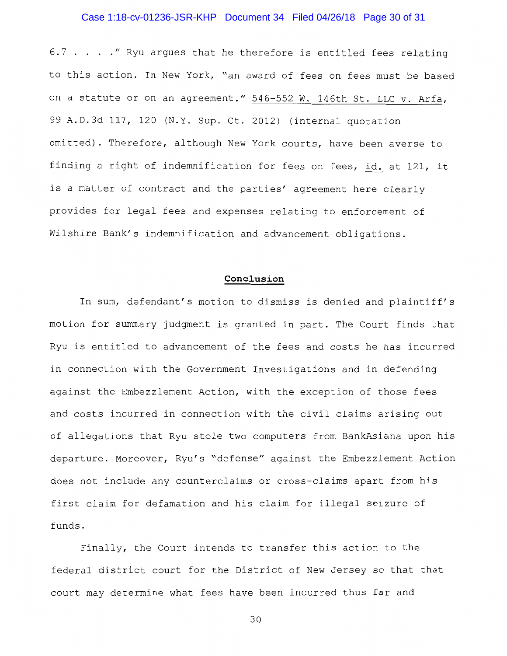## Case 1:18-cv-01236-JSR-KHP Document 34 Filed 04/26/18 Page 30 of 31

6.7  $\ldots$  . . . " Ryu argues that he therefore is entitled fees relating to this action. In New York, "an award of fees on fees must be based on a statute or on an agreement." 546-552 W. 146th St. LLC v. Arfa, 99 A.D.3d 117, 120 (N.Y. Sup. Ct. 2012) (internal quotation omitted). Therefore, although New York courts, have been averse to finding a right of indemnification for fees on fees, id. at 121, it is a matter of contract and the parties' agreement here clearly provides for legal fees and expenses relating to enforcement of Wilshire Bank's indemnification and advancement obligations.

## **Conclusion**

In sum, defendant's motion to dismiss is denied and plaintiff's motion for summary judgment is granted in part. The Court finds that Ryu is entitled to advancement of the fees and costs he has incurred in connection with the Government Investigations and in defending against the Embezzlement Action, with the exception of those fees and costs incurred in connection with the civil claims arising out of allegations that Ryu stole two computers from BankAsiana upon his departure. Moreover, Ryu's "defense" against the Embezzlement Action does not include any counterclaims or cross-claims apart from his first claim for defamation and his claim for illegal seizure of funds.

Finally, the Court intends to transfer this action to the federal district court for the District of New Jersey so that that court may determine what fees have been incurred thus far and